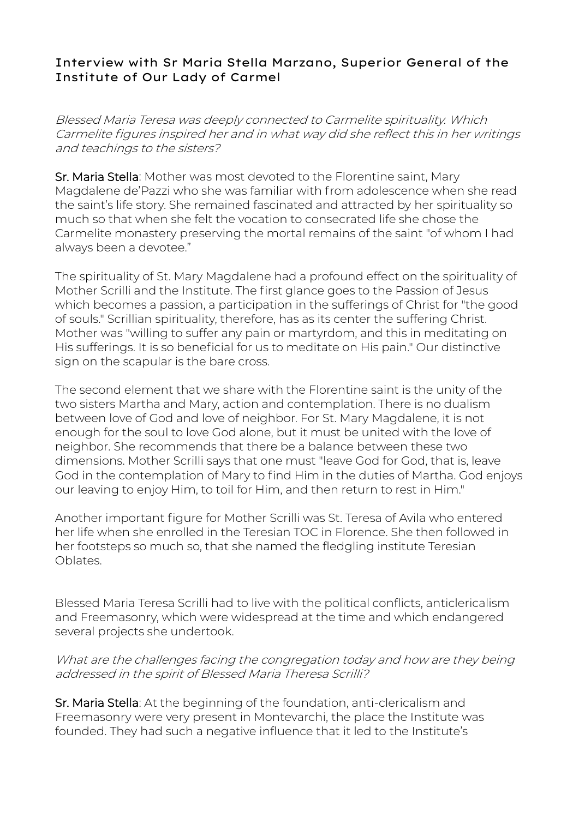## Interview with Sr Maria Stella Marzano, Superior General of the Institute of Our Lady of Carmel

Blessed Maria Teresa was deeply connected to Carmelite spirituality. Which Carmelite figures inspired her and in what way did she reflect this in her writings and teachings to the sisters?

Sr. Maria Stella: Mother was most devoted to the Florentine saint, Mary Magdalene de'Pazzi who she was familiar with from adolescence when she read the saint's life story. She remained fascinated and attracted by her spirituality so much so that when she felt the vocation to consecrated life she chose the Carmelite monastery preserving the mortal remains of the saint "of whom I had always been a devotee."

The spirituality of St. Mary Magdalene had a profound effect on the spirituality of Mother Scrilli and the Institute. The first glance goes to the Passion of Jesus which becomes a passion, a participation in the sufferings of Christ for "the good of souls." Scrillian spirituality, therefore, has as its center the suffering Christ. Mother was "willing to suffer any pain or martyrdom, and this in meditating on His sufferings. It is so beneficial for us to meditate on His pain." Our distinctive sign on the scapular is the bare cross.

The second element that we share with the Florentine saint is the unity of the two sisters Martha and Mary, action and contemplation. There is no dualism between love of God and love of neighbor. For St. Mary Magdalene, it is not enough for the soul to love God alone, but it must be united with the love of neighbor. She recommends that there be a balance between these two dimensions. Mother Scrilli says that one must "leave God for God, that is, leave God in the contemplation of Mary to find Him in the duties of Martha. God enjoys our leaving to enjoy Him, to toil for Him, and then return to rest in Him."

Another important figure for Mother Scrilli was St. Teresa of Avila who entered her life when she enrolled in the Teresian TOC in Florence. She then followed in her footsteps so much so, that she named the fledgling institute Teresian Oblates.

Blessed Maria Teresa Scrilli had to live with the political conflicts, anticlericalism and Freemasonry, which were widespread at the time and which endangered several projects she undertook.

## What are the challenges facing the congregation today and how are they being addressed in the spirit of Blessed Maria Theresa Scrilli?

Sr. Maria Stella: At the beginning of the foundation, anti-clericalism and Freemasonry were very present in Montevarchi, the place the Institute was founded. They had such a negative influence that it led to the Institute's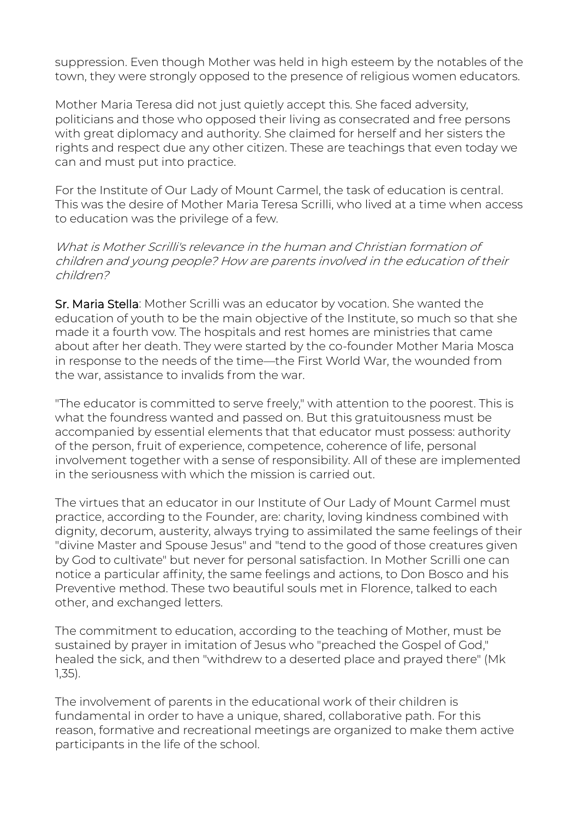suppression. Even though Mother was held in high esteem by the notables of the town, they were strongly opposed to the presence of religious women educators.

Mother Maria Teresa did not just quietly accept this. She faced adversity, politicians and those who opposed their living as consecrated and free persons with great diplomacy and authority. She claimed for herself and her sisters the rights and respect due any other citizen. These are teachings that even today we can and must put into practice.

For the Institute of Our Lady of Mount Carmel, the task of education is central. This was the desire of Mother Maria Teresa Scrilli, who lived at a time when access to education was the privilege of a few.

What is Mother Scrilli's relevance in the human and Christian formation of children and young people? How are parents involved in the education of their children?

Sr. Maria Stella: Mother Scrilli was an educator by vocation. She wanted the education of youth to be the main objective of the Institute, so much so that she made it a fourth vow. The hospitals and rest homes are ministries that came about after her death. They were started by the co-founder Mother Maria Mosca in response to the needs of the time—the First World War, the wounded from the war, assistance to invalids from the war.

"The educator is committed to serve freely," with attention to the poorest. This is what the foundress wanted and passed on. But this gratuitousness must be accompanied by essential elements that that educator must possess: authority of the person, fruit of experience, competence, coherence of life, personal involvement together with a sense of responsibility. All of these are implemented in the seriousness with which the mission is carried out.

The virtues that an educator in our Institute of Our Lady of Mount Carmel must practice, according to the Founder, are: charity, loving kindness combined with dignity, decorum, austerity, always trying to assimilated the same feelings of their "divine Master and Spouse Jesus" and "tend to the good of those creatures given by God to cultivate" but never for personal satisfaction. In Mother Scrilli one can notice a particular affinity, the same feelings and actions, to Don Bosco and his Preventive method. These two beautiful souls met in Florence, talked to each other, and exchanged letters.

The commitment to education, according to the teaching of Mother, must be sustained by prayer in imitation of Jesus who "preached the Gospel of God," healed the sick, and then "withdrew to a deserted place and prayed there" (Mk 1,35).

The involvement of parents in the educational work of their children is fundamental in order to have a unique, shared, collaborative path. For this reason, formative and recreational meetings are organized to make them active participants in the life of the school.